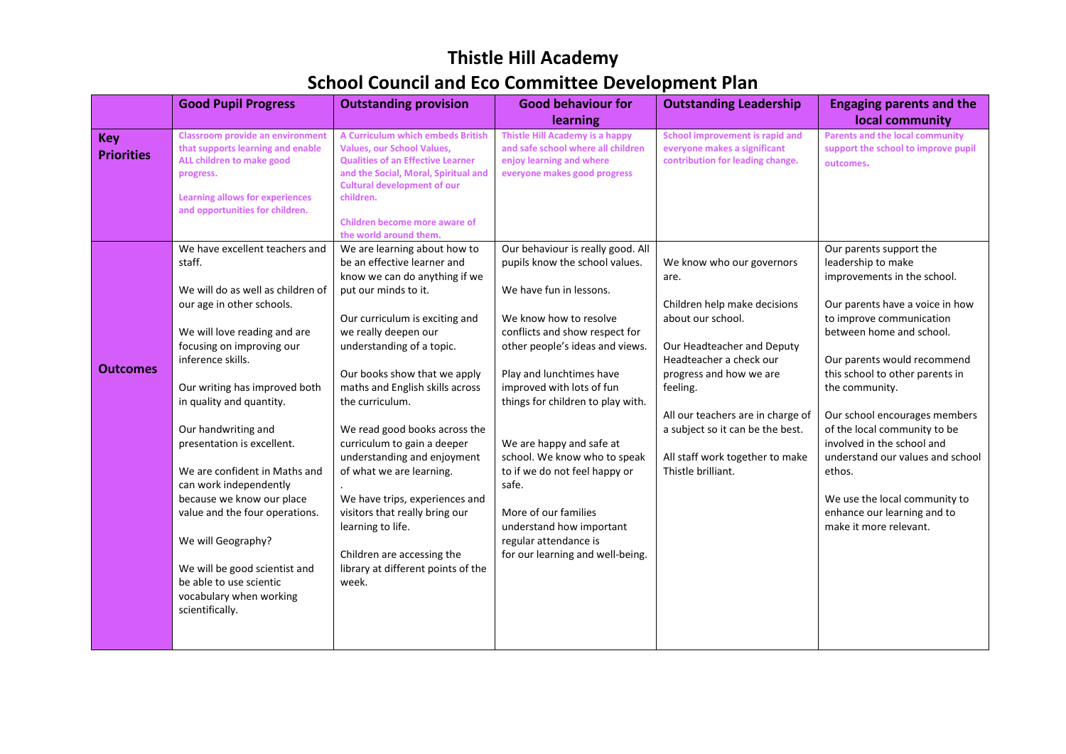## **Thistle Hill Academy School Council and Eco Committee Development Plan**

|                                 | <b>Good Pupil Progress</b>                                                                                                                                                                                                                                                                                                                                                                                                                                                                                                                                               | <b>Outstanding provision</b>                                                                                                                                                                                                                                                                                                                                                                                                                                                                                                                                                                       | <b>Good behaviour for</b><br>learning                                                                                                                                                                                                                                                                                                                                                                                                                                                                              | <b>Outstanding Leadership</b>                                                                                                                                                                                                                                                                                            | <b>Engaging parents and the</b><br>local community                                                                                                                                                                                                                                                                                                                                                                                                                                                 |
|---------------------------------|--------------------------------------------------------------------------------------------------------------------------------------------------------------------------------------------------------------------------------------------------------------------------------------------------------------------------------------------------------------------------------------------------------------------------------------------------------------------------------------------------------------------------------------------------------------------------|----------------------------------------------------------------------------------------------------------------------------------------------------------------------------------------------------------------------------------------------------------------------------------------------------------------------------------------------------------------------------------------------------------------------------------------------------------------------------------------------------------------------------------------------------------------------------------------------------|--------------------------------------------------------------------------------------------------------------------------------------------------------------------------------------------------------------------------------------------------------------------------------------------------------------------------------------------------------------------------------------------------------------------------------------------------------------------------------------------------------------------|--------------------------------------------------------------------------------------------------------------------------------------------------------------------------------------------------------------------------------------------------------------------------------------------------------------------------|----------------------------------------------------------------------------------------------------------------------------------------------------------------------------------------------------------------------------------------------------------------------------------------------------------------------------------------------------------------------------------------------------------------------------------------------------------------------------------------------------|
| <b>Key</b><br><b>Priorities</b> | <b>Classroom provide an environment</b><br>that supports learning and enable<br>ALL children to make good<br>progress.<br>Learning allows for experiences<br>and opportunities for children.                                                                                                                                                                                                                                                                                                                                                                             | A Curriculum which embeds British<br><b>Values, our School Values,</b><br><b>Qualities of an Effective Learner</b><br>and the Social, Moral, Spiritual and<br><b>Cultural development of our</b><br>children.<br><b>Children become more aware of</b><br>the world around them.                                                                                                                                                                                                                                                                                                                    | <b>Thistle Hill Academy is a happy</b><br>and safe school where all children<br>enjoy learning and where<br>everyone makes good progress                                                                                                                                                                                                                                                                                                                                                                           | School improvement is rapid and<br>everyone makes a significant<br>contribution for leading change.                                                                                                                                                                                                                      | <b>Parents and the local community</b><br>support the school to improve pupil<br>outcomes.                                                                                                                                                                                                                                                                                                                                                                                                         |
| <b>Outcomes</b>                 | We have excellent teachers and<br>staff.<br>We will do as well as children of<br>our age in other schools.<br>We will love reading and are<br>focusing on improving our<br>inference skills.<br>Our writing has improved both<br>in quality and quantity.<br>Our handwriting and<br>presentation is excellent.<br>We are confident in Maths and<br>can work independently<br>because we know our place<br>value and the four operations.<br>We will Geography?<br>We will be good scientist and<br>be able to use scientic<br>vocabulary when working<br>scientifically. | We are learning about how to<br>be an effective learner and<br>know we can do anything if we<br>put our minds to it.<br>Our curriculum is exciting and<br>we really deepen our<br>understanding of a topic.<br>Our books show that we apply<br>maths and English skills across<br>the curriculum.<br>We read good books across the<br>curriculum to gain a deeper<br>understanding and enjoyment<br>of what we are learning.<br>We have trips, experiences and<br>visitors that really bring our<br>learning to life.<br>Children are accessing the<br>library at different points of the<br>week. | Our behaviour is really good. All<br>pupils know the school values.<br>We have fun in lessons.<br>We know how to resolve<br>conflicts and show respect for<br>other people's ideas and views.<br>Play and lunchtimes have<br>improved with lots of fun<br>things for children to play with.<br>We are happy and safe at<br>school. We know who to speak<br>to if we do not feel happy or<br>safe.<br>More of our families<br>understand how important<br>regular attendance is<br>for our learning and well-being. | We know who our governors<br>are.<br>Children help make decisions<br>about our school.<br>Our Headteacher and Deputy<br>Headteacher a check our<br>progress and how we are<br>feeling.<br>All our teachers are in charge of<br>a subject so it can be the best.<br>All staff work together to make<br>Thistle brilliant. | Our parents support the<br>leadership to make<br>improvements in the school.<br>Our parents have a voice in how<br>to improve communication<br>between home and school.<br>Our parents would recommend<br>this school to other parents in<br>the community.<br>Our school encourages members<br>of the local community to be<br>involved in the school and<br>understand our values and school<br>ethos.<br>We use the local community to<br>enhance our learning and to<br>make it more relevant. |